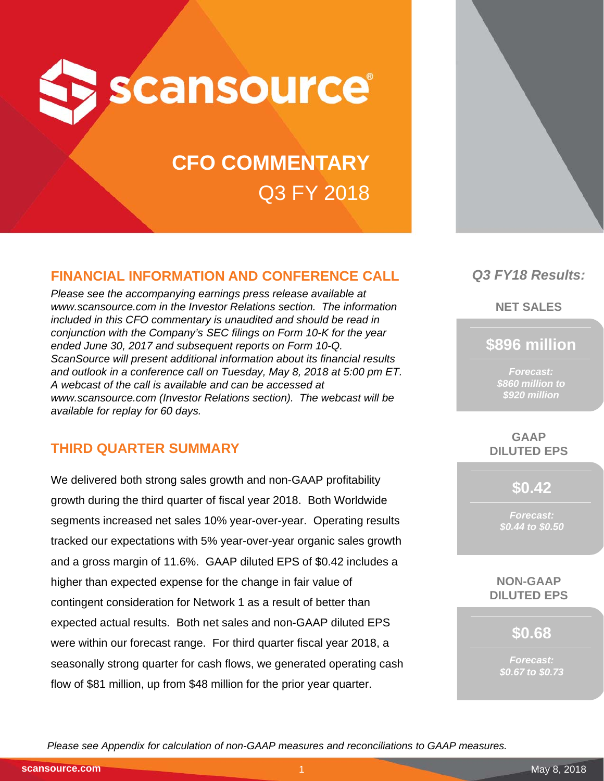

# **CFO COMMENTARY** Q3 FY 2018

## **FINANCIAL INFORMATION AND CONFERENCE CALL**

*Please see the accompanying earnings press release available at www.scansource.com in the Investor Relations section. The information included in this CFO commentary is unaudited and should be read in conjunction with the Company's SEC filings on Form 10-K for the year ended June 30, 2017 and subsequent reports on Form 10-Q. ScanSource will present additional information about its financial results and outlook in a conference call on Tuesday, May 8, 2018 at 5:00 pm ET. A webcast of the call is available and can be accessed at www.scansource.com (Investor Relations section). The webcast will be available for replay for 60 days.*

## **THIRD QUARTER SUMMARY**

We delivered both strong sales growth and non-GAAP profitability growth during the third quarter of fiscal year 2018. Both Worldwide segments increased net sales 10% year-over-year. Operating results tracked our expectations with 5% year-over-year organic sales growth and a gross margin of 11.6%. GAAP diluted EPS of \$0.42 includes a higher than expected expense for the change in fair value of contingent consideration for Network 1 as a result of better than expected actual results. Both net sales and non-GAAP diluted EPS were within our forecast range. For third quarter fiscal year 2018, a seasonally strong quarter for cash flows, we generated operating cash flow of \$81 million, up from \$48 million for the prior year quarter.



**NET SALES**

**\$896 million**

*Forecast: \$860 million to \$920 million*

**GAAP DILUTED EPS**

**\$0.42**

*Forecast: \$0.44 to \$0.50*

**NON-GAAP DILUTED EPS**

**\$0.68**

*Forecast: \$0.67 to \$0.73*

*Please see Appendix for calculation of non-GAAP measures and reconciliations to GAAP measures.*

**scansource.com**

1 May 8, 2018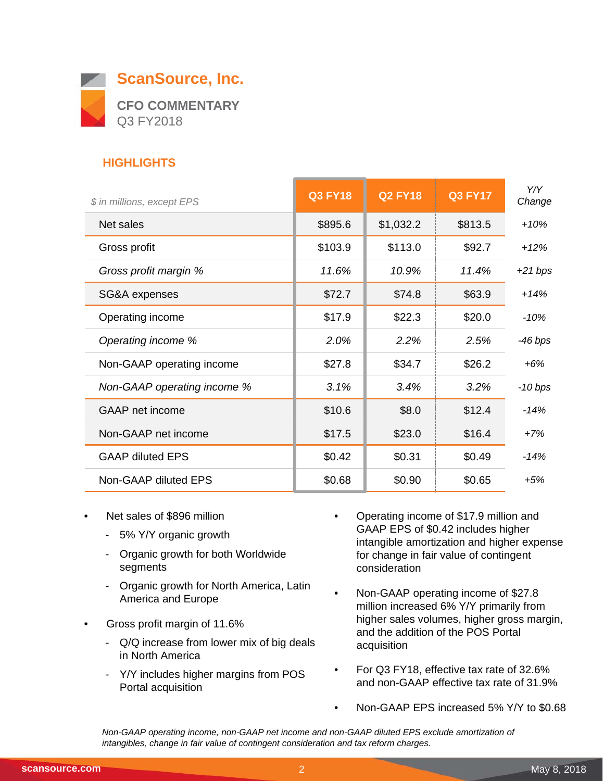

## **HIGHLIGHTS**

| \$ in millions, except EPS  | <b>Q3 FY18</b> | <b>Q2 FY18</b> | <b>Q3 FY17</b> | Y/Y<br>Change |
|-----------------------------|----------------|----------------|----------------|---------------|
| Net sales                   | \$895.6        | \$1,032.2      | \$813.5        | $+10%$        |
| Gross profit                | \$103.9        | \$113.0        | \$92.7         | $+12%$        |
| Gross profit margin %       | 11.6%          | 10.9%          | 11.4%          | $+21$ bps     |
| SG&A expenses               | \$72.7         | \$74.8         | \$63.9         | $+14%$        |
| Operating income            | \$17.9         | \$22.3         | \$20.0         | $-10%$        |
| Operating income %          | 2.0%           | 2.2%           | 2.5%           | $-46$ bps     |
| Non-GAAP operating income   | \$27.8         | \$34.7         | \$26.2         | $+6%$         |
| Non-GAAP operating income % | 3.1%           | 3.4%           | 3.2%           | $-10$ bps     |
| <b>GAAP</b> net income      | \$10.6         | \$8.0          | \$12.4         | $-14%$        |
| Non-GAAP net income         | \$17.5         | \$23.0         | \$16.4         | $+7%$         |
| <b>GAAP diluted EPS</b>     | \$0.42         | \$0.31         | \$0.49         | $-14%$        |
| Non-GAAP diluted EPS        | \$0.68         | \$0.90         | \$0.65         | $+5%$         |

- Net sales of \$896 million
	- 5% Y/Y organic growth
	- Organic growth for both Worldwide segments
	- Organic growth for North America, Latin America and Europe
- Gross profit margin of 11.6%
	- Q/Q increase from lower mix of big deals in North America
	- Y/Y includes higher margins from POS Portal acquisition
- Operating income of \$17.9 million and GAAP EPS of \$0.42 includes higher intangible amortization and higher expense for change in fair value of contingent consideration
- Non-GAAP operating income of \$27.8 million increased 6% Y/Y primarily from higher sales volumes, higher gross margin, and the addition of the POS Portal acquisition
- For Q3 FY18, effective tax rate of 32.6% and non-GAAP effective tax rate of 31.9%
- Non-GAAP EPS increased 5% Y/Y to \$0.68

*Non-GAAP operating income, non-GAAP net income and non-GAAP diluted EPS exclude amortization of intangibles, change in fair value of contingent consideration and tax reform charges.*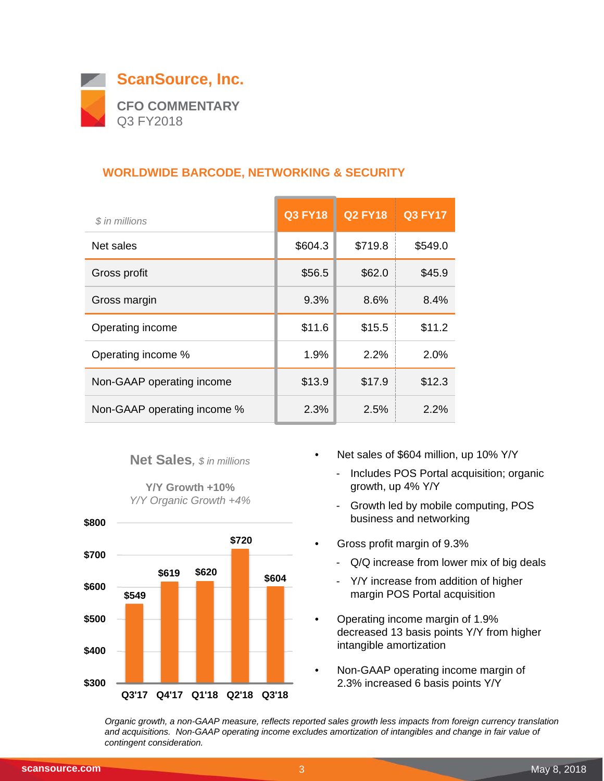

## **WORLDWIDE BARCODE, NETWORKING & SECURITY**

| \$ in millions              | <b>Q3 FY18</b> | <b>Q2 FY18</b> | <b>Q3 FY17</b> |
|-----------------------------|----------------|----------------|----------------|
| Net sales                   | \$604.3        | \$719.8        | \$549.0        |
| Gross profit                | \$56.5         | \$62.0         | \$45.9         |
| Gross margin                | 9.3%           | 8.6%           | 8.4%           |
| Operating income            | \$11.6         | \$15.5         | \$11.2         |
| Operating income %          | 1.9%           | 2.2%           | 2.0%           |
| Non-GAAP operating income   | \$13.9         | \$17.9         | \$12.3         |
| Non-GAAP operating income % | 2.3%           | 2.5%           | 2.2%           |

#### **Net Sales***, \$ in millions*

**Y/Y Growth +10%** *Y/Y Organic Growth +4%*



- Net sales of \$604 million, up 10% Y/Y
	- Includes POS Portal acquisition; organic growth, up 4% Y/Y
	- Growth led by mobile computing, POS business and networking
- Gross profit margin of 9.3%
	- Q/Q increase from lower mix of big deals
	- Y/Y increase from addition of higher margin POS Portal acquisition
- Operating income margin of 1.9% decreased 13 basis points Y/Y from higher intangible amortization
- Non-GAAP operating income margin of 2.3% increased 6 basis points Y/Y

*Organic growth, a non-GAAP measure, reflects reported sales growth less impacts from foreign currency translation and acquisitions. Non-GAAP operating income excludes amortization of intangibles and change in fair value of contingent consideration.*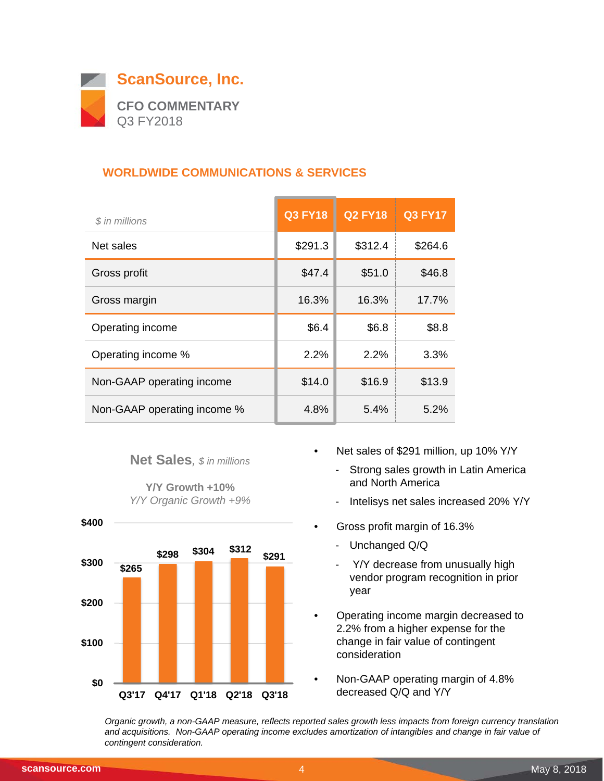

## **WORLDWIDE COMMUNICATIONS & SERVICES**

| \$ in millions              | <b>Q3 FY18</b> | <b>Q2 FY18</b> | <b>Q3 FY17</b> |
|-----------------------------|----------------|----------------|----------------|
| Net sales                   | \$291.3        | \$312.4        | \$264.6        |
| Gross profit                | \$47.4         | \$51.0         | \$46.8         |
| Gross margin                | 16.3%          | 16.3%          | 17.7%          |
| Operating income            | \$6.4          | \$6.8          | \$8.8          |
| Operating income %          | 2.2%           | 2.2%           | 3.3%           |
| Non-GAAP operating income   | \$14.0         | \$16.9         | \$13.9         |
| Non-GAAP operating income % | 4.8%           | 5.4%           | 5.2%           |

#### **Net Sales***, \$ in millions*

**Y/Y Growth +10%** *Y/Y Organic Growth +9%*



- Net sales of \$291 million, up 10% Y/Y
	- Strong sales growth in Latin America and North America
	- Intelisys net sales increased 20% Y/Y
- Gross profit margin of 16.3%
	- Unchanged Q/Q
	- Y/Y decrease from unusually high vendor program recognition in prior year
- Operating income margin decreased to 2.2% from a higher expense for the change in fair value of contingent consideration
- Non-GAAP operating margin of 4.8% decreased Q/Q and Y/Y

*Organic growth, a non-GAAP measure, reflects reported sales growth less impacts from foreign currency translation and acquisitions. Non-GAAP operating income excludes amortization of intangibles and change in fair value of contingent consideration.*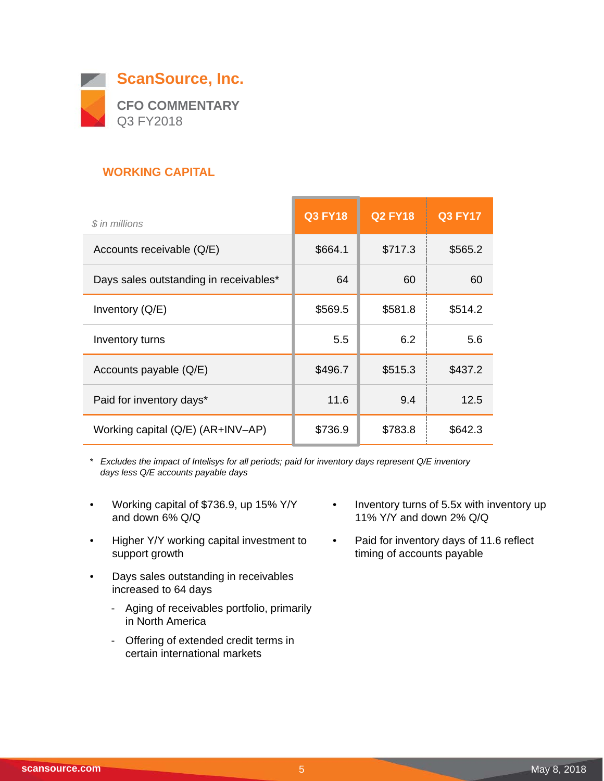

## **WORKING CAPITAL**

| \$ in millions                         | <b>Q3 FY18</b> | <b>Q2 FY18</b> | <b>Q3 FY17</b> |
|----------------------------------------|----------------|----------------|----------------|
| Accounts receivable (Q/E)              | \$664.1        | \$717.3        | \$565.2        |
| Days sales outstanding in receivables* | 64             | 60             | 60             |
| Inventory $(Q/E)$                      | \$569.5        | \$581.8        | \$514.2        |
| Inventory turns                        | 5.5            | 6.2            | 5.6            |
| Accounts payable (Q/E)                 | \$496.7        | \$515.3        | \$437.2        |
| Paid for inventory days*               | 11.6           | 9.4            | 12.5           |
| Working capital (Q/E) (AR+INV-AP)      | \$736.9        | \$783.8        | \$642.3        |

*\* Excludes the impact of Intelisys for all periods; paid for inventory days represent Q/E inventory days less Q/E accounts payable days*

- Working capital of \$736.9, up 15% Y/Y and down 6% Q/Q
- Higher Y/Y working capital investment to support growth
- Days sales outstanding in receivables increased to 64 days
	- Aging of receivables portfolio, primarily in North America
	- Offering of extended credit terms in certain international markets
- Inventory turns of 5.5x with inventory up 11% Y/Y and down 2% Q/Q
- Paid for inventory days of 11.6 reflect timing of accounts payable

 $\overline{\phantom{0}}$ 

5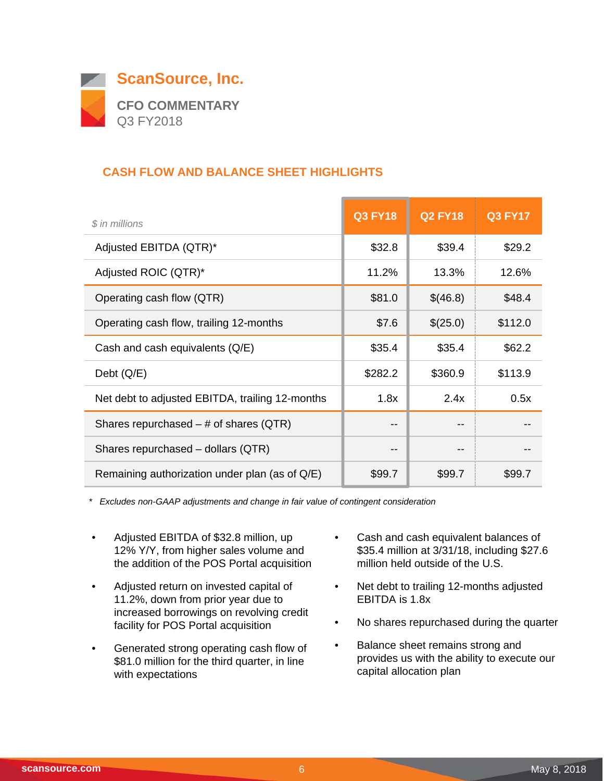

## **CASH FLOW AND BALANCE SHEET HIGHLIGHTS**

| \$ in millions                                  | <b>Q3 FY18</b> | <b>Q2 FY18</b> | <b>Q3 FY17</b> |
|-------------------------------------------------|----------------|----------------|----------------|
| Adjusted EBITDA (QTR)*                          | \$32.8         | \$39.4         | \$29.2         |
| Adjusted ROIC (QTR)*                            | 11.2%          | 13.3%          | 12.6%          |
| Operating cash flow (QTR)                       | \$81.0         | \$(46.8)       | \$48.4         |
| Operating cash flow, trailing 12-months         | \$7.6          | \$(25.0)       | \$112.0        |
| Cash and cash equivalents (Q/E)                 | \$35.4         | \$35.4         | \$62.2         |
| Debt $(Q/E)$                                    | \$282.2        | \$360.9        | \$113.9        |
| Net debt to adjusted EBITDA, trailing 12-months | 1.8x           | 2.4x           | 0.5x           |
| Shares repurchased $-$ # of shares (QTR)        | --             |                |                |
| Shares repurchased – dollars (QTR)              | --             |                |                |
| Remaining authorization under plan (as of Q/E)  | \$99.7         | \$99.7         | \$99.7         |

*\* Excludes non-GAAP adjustments and change in fair value of contingent consideration*

- Adjusted EBITDA of \$32.8 million, up 12% Y/Y, from higher sales volume and the addition of the POS Portal acquisition
- Adjusted return on invested capital of 11.2%, down from prior year due to increased borrowings on revolving credit facility for POS Portal acquisition
- Generated strong operating cash flow of \$81.0 million for the third quarter, in line with expectations
- Cash and cash equivalent balances of \$35.4 million at 3/31/18, including \$27.6 million held outside of the U.S.
- Net debt to trailing 12-months adjusted EBITDA is 1.8x
- No shares repurchased during the quarter
- Balance sheet remains strong and provides us with the ability to execute our capital allocation plan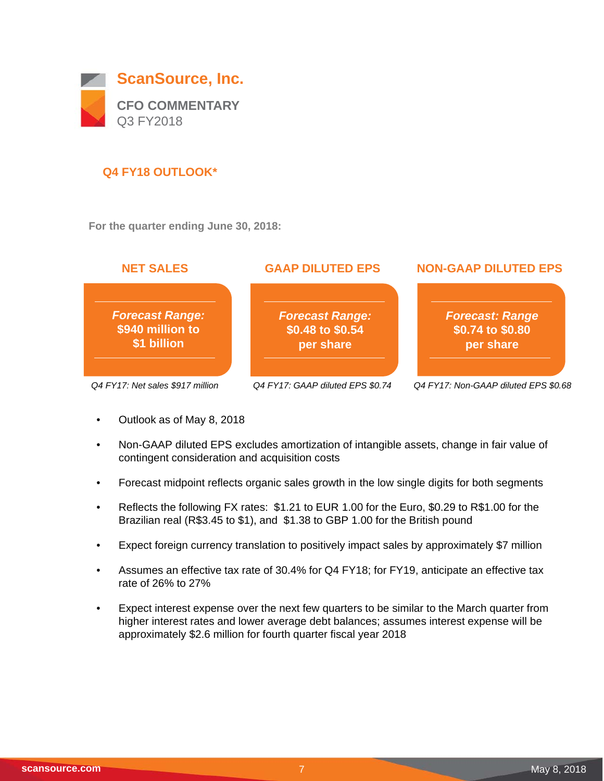

## **Q4 FY18 OUTLOOK\***

**For the quarter ending June 30, 2018:**



- Outlook as of May 8, 2018
- Non-GAAP diluted EPS excludes amortization of intangible assets, change in fair value of contingent consideration and acquisition costs
- Forecast midpoint reflects organic sales growth in the low single digits for both segments
- Reflects the following FX rates: \$1.21 to EUR 1.00 for the Euro, \$0.29 to R\$1.00 for the Brazilian real (R\$3.45 to \$1), and \$1.38 to GBP 1.00 for the British pound
- Expect foreign currency translation to positively impact sales by approximately \$7 million
- Assumes an effective tax rate of 30.4% for Q4 FY18; for FY19, anticipate an effective tax rate of 26% to 27%
- Expect interest expense over the next few quarters to be similar to the March quarter from higher interest rates and lower average debt balances; assumes interest expense will be approximately \$2.6 million for fourth quarter fiscal year 2018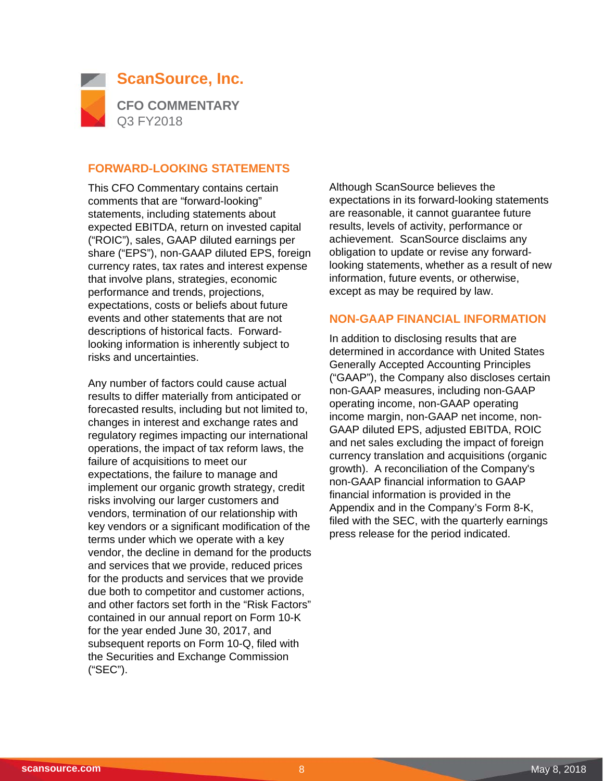

#### **FORWARD-LOOKING STATEMENTS**

This CFO Commentary contains certain comments that are "forward-looking" statements, including statements about expected EBITDA, return on invested capital ("ROIC"), sales, GAAP diluted earnings per share ("EPS"), non-GAAP diluted EPS, foreign currency rates, tax rates and interest expense that involve plans, strategies, economic performance and trends, projections, expectations, costs or beliefs about future events and other statements that are not descriptions of historical facts. Forwardlooking information is inherently subject to risks and uncertainties.

Any number of factors could cause actual results to differ materially from anticipated or forecasted results, including but not limited to, changes in interest and exchange rates and regulatory regimes impacting our international operations, the impact of tax reform laws, the failure of acquisitions to meet our expectations, the failure to manage and implement our organic growth strategy, credit risks involving our larger customers and vendors, termination of our relationship with key vendors or a significant modification of the terms under which we operate with a key vendor, the decline in demand for the products and services that we provide, reduced prices for the products and services that we provide due both to competitor and customer actions, and other factors set forth in the "Risk Factors" contained in our annual report on Form 10-K for the year ended June 30, 2017, and subsequent reports on Form 10-Q, filed with the Securities and Exchange Commission ("SEC").

Although ScanSource believes the expectations in its forward-looking statements are reasonable, it cannot guarantee future results, levels of activity, performance or achievement. ScanSource disclaims any obligation to update or revise any forwardlooking statements, whether as a result of new information, future events, or otherwise, except as may be required by law.

#### **NON-GAAP FINANCIAL INFORMATION**

In addition to disclosing results that are determined in accordance with United States Generally Accepted Accounting Principles ("GAAP"), the Company also discloses certain non-GAAP measures, including non-GAAP operating income, non-GAAP operating income margin, non-GAAP net income, non-GAAP diluted EPS, adjusted EBITDA, ROIC and net sales excluding the impact of foreign currency translation and acquisitions (organic growth). A reconciliation of the Company's non-GAAP financial information to GAAP financial information is provided in the Appendix and in the Company's Form 8-K, filed with the SEC, with the quarterly earnings press release for the period indicated.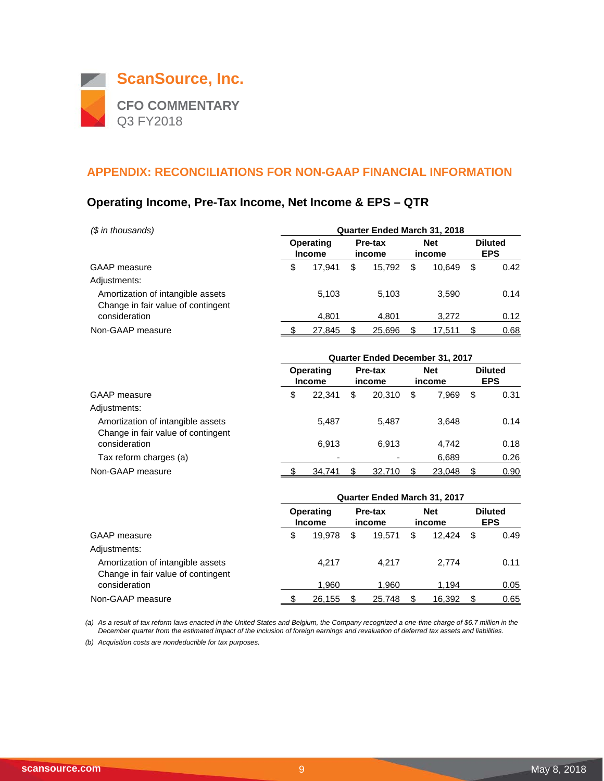

## **Operating Income, Pre-Tax Income, Net Income & EPS – QTR**

| (\$ in thousands)                                                       | Quarter Ended March 31, 2018 |                            |    |                          |   |                      |    |                              |  |  |
|-------------------------------------------------------------------------|------------------------------|----------------------------|----|--------------------------|---|----------------------|----|------------------------------|--|--|
|                                                                         |                              | Operating<br><b>Income</b> |    | <b>Pre-tax</b><br>income |   | <b>Net</b><br>income |    | <b>Diluted</b><br><b>EPS</b> |  |  |
| GAAP measure                                                            | \$                           | 17.941                     | \$ | 15.792                   | S | 10.649               | \$ | 0.42                         |  |  |
| Adjustments:                                                            |                              |                            |    |                          |   |                      |    |                              |  |  |
| Amortization of intangible assets<br>Change in fair value of contingent |                              | 5.103                      |    | 5.103                    |   | 3.590                |    | 0.14                         |  |  |
| consideration                                                           |                              | 4.801                      |    | 4.801                    |   | 3.272                |    | 0.12                         |  |  |
| Non-GAAP measure                                                        |                              | 27,845                     |    | 25,696                   |   | 17,511               |    | 0.68                         |  |  |

|                                                                         | <b>Quarter Ended December 31, 2017</b> |                   |        |                      |        |                              |      |  |  |
|-------------------------------------------------------------------------|----------------------------------------|-------------------|--------|----------------------|--------|------------------------------|------|--|--|
|                                                                         | Operating<br><b>Income</b>             | Pre-tax<br>income |        | <b>Net</b><br>income |        | <b>Diluted</b><br><b>EPS</b> |      |  |  |
| GAAP measure                                                            | \$<br>22.341                           | S                 | 20.310 | S                    | 7.969  | \$                           | 0.31 |  |  |
| Adjustments:                                                            |                                        |                   |        |                      |        |                              |      |  |  |
| Amortization of intangible assets<br>Change in fair value of contingent | 5,487                                  |                   | 5.487  |                      | 3.648  |                              | 0.14 |  |  |
| consideration                                                           | 6.913                                  |                   | 6.913  |                      | 4,742  |                              | 0.18 |  |  |
| Tax reform charges (a)                                                  |                                        |                   |        |                      | 6,689  |                              | 0.26 |  |  |
| Non-GAAP measure                                                        | 34.741                                 |                   | 32.710 | \$                   | 23,048 | \$                           | 0.90 |  |  |

|                                                                         |                            | Quarter Ended March 31, 2017 |     |                   |                      |        |                              |      |  |
|-------------------------------------------------------------------------|----------------------------|------------------------------|-----|-------------------|----------------------|--------|------------------------------|------|--|
|                                                                         | Operating<br><b>Income</b> |                              |     | Pre-tax<br>income | <b>Net</b><br>income |        | <b>Diluted</b><br><b>EPS</b> |      |  |
| GAAP measure                                                            | \$                         | 19.978                       | \$. | 19.571            | \$                   | 12.424 | \$                           | 0.49 |  |
| Adjustments:                                                            |                            |                              |     |                   |                      |        |                              |      |  |
| Amortization of intangible assets<br>Change in fair value of contingent |                            | 4.217                        |     | 4.217             |                      | 2.774  |                              | 0.11 |  |
| consideration                                                           |                            | 1,960                        |     | 1,960             |                      | 1.194  |                              | 0.05 |  |
| Non-GAAP measure                                                        |                            | 26,155                       |     | 25,748            |                      | 16,392 |                              | 0.65 |  |

*(a) As a result of tax reform laws enacted in the United States and Belgium, the Company recognized a one-time charge of \$6.7 million in the December quarter from the estimated impact of the inclusion of foreign earnings and revaluation of deferred tax assets and liabilities.*

*(b) Acquisition costs are nondeductible for tax purposes.*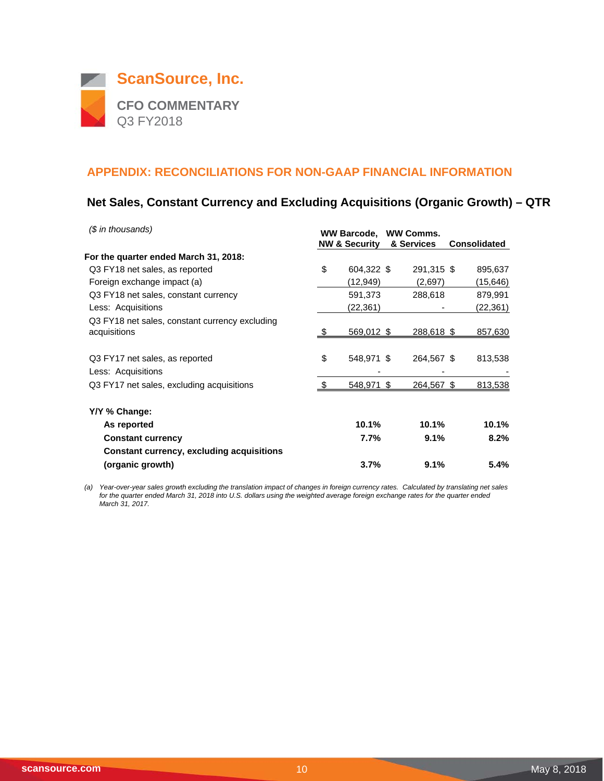

## **Net Sales, Constant Currency and Excluding Acquisitions (Organic Growth) – QTR**

| (\$ in thousands)                                              | WW Barcode, WW Comms.<br><b>NW &amp; Security</b> |    | & Services | <b>Consolidated</b> |
|----------------------------------------------------------------|---------------------------------------------------|----|------------|---------------------|
| For the quarter ended March 31, 2018:                          |                                                   |    |            |                     |
| Q3 FY18 net sales, as reported                                 | \$<br>604,322 \$                                  |    | 291,315 \$ | 895,637             |
| Foreign exchange impact (a)                                    | (12,949)                                          |    | (2,697)    | (15,646)            |
| Q3 FY18 net sales, constant currency                           | 591,373                                           |    | 288,618    | 879,991             |
| Less: Acquisitions                                             | (22, 361)                                         |    |            | (22, 361)           |
| Q3 FY18 net sales, constant currency excluding<br>acquisitions | 569,012 \$                                        |    | 288,618 \$ | 857,630             |
| Q3 FY17 net sales, as reported                                 | \$<br>548,971 \$                                  |    | 264,567 \$ | 813,538             |
| Less: Acquisitions                                             |                                                   |    |            |                     |
| Q3 FY17 net sales, excluding acquisitions                      | 548,971                                           | S. | 264,567 \$ | 813,538             |
| Y/Y % Change:                                                  |                                                   |    |            |                     |
| As reported                                                    | 10.1%                                             |    | 10.1%      | 10.1%               |
| <b>Constant currency</b>                                       | 7.7%                                              |    | 9.1%       | 8.2%                |
| <b>Constant currency, excluding acquisitions</b>               |                                                   |    |            |                     |
| (organic growth)                                               | 3.7%                                              |    | 9.1%       | 5.4%                |

*(a) Year-over-year sales growth excluding the translation impact of changes in foreign currency rates. Calculated by translating net sales for the quarter ended March 31, 2018 into U.S. dollars using the weighted average foreign exchange rates for the quarter ended March 31, 2017.*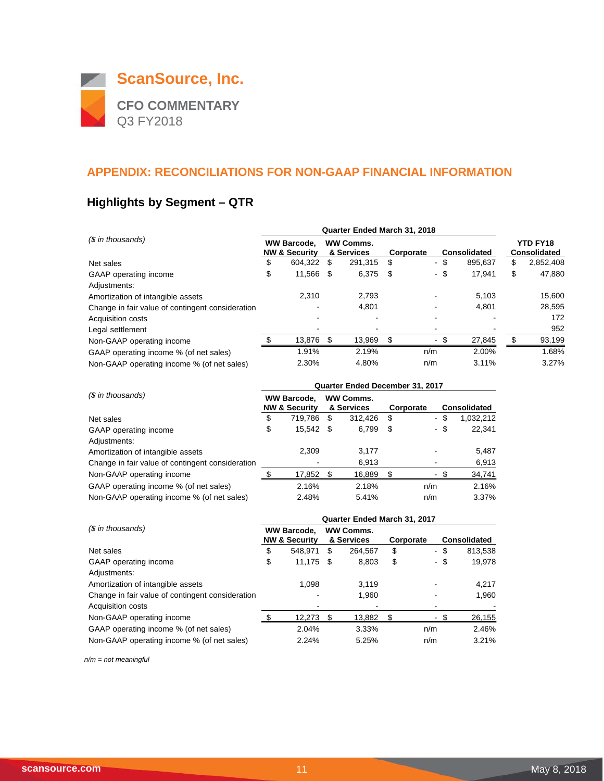

# **Highlights by Segment – QTR**

| (\$ in thousands)                                |    | Quarter Ended March 31, 2018                   |      |                                |      |                          |      |                     |                                        |           |
|--------------------------------------------------|----|------------------------------------------------|------|--------------------------------|------|--------------------------|------|---------------------|----------------------------------------|-----------|
|                                                  |    | <b>WW Barcode,</b><br><b>NW &amp; Security</b> |      | <b>WW Comms.</b><br>& Services |      | Corporate                |      | <b>Consolidated</b> | <b>YTD FY18</b><br><b>Consolidated</b> |           |
| Net sales                                        | \$ | 604.322                                        | - \$ | 291,315                        | \$   |                          | - \$ | 895,637             | \$                                     | 2,852,408 |
| GAAP operating income                            | \$ | 11,566                                         | - \$ | 6,375                          | - \$ |                          | - \$ | 17.941              | \$                                     | 47.880    |
| Adjustments:                                     |    |                                                |      |                                |      |                          |      |                     |                                        |           |
| Amortization of intangible assets                |    | 2.310                                          |      | 2,793                          |      |                          |      | 5,103               |                                        | 15,600    |
| Change in fair value of contingent consideration |    |                                                |      | 4,801                          |      |                          |      | 4.801               |                                        | 28,595    |
| <b>Acquisition costs</b>                         |    |                                                |      |                                |      |                          |      |                     |                                        | 172       |
| Legal settlement                                 |    |                                                |      |                                |      | $\blacksquare$           |      |                     |                                        | 952       |
| Non-GAAP operating income                        |    | 13.876 \$                                      |      | 13,969                         | \$.  | $\overline{\phantom{a}}$ |      | 27,845              | \$                                     | 93,199    |
| GAAP operating income % (of net sales)           |    | 1.91%                                          |      | 2.19%                          |      | n/m                      |      | 2.00%               |                                        | 1.68%     |
| Non-GAAP operating income % (of net sales)       |    | 2.30%                                          |      | 4.80%                          |      | n/m                      |      | 3.11%               |                                        | 3.27%     |

| (\$ in thousands)                                |    | Quarter Ended December 31, 2017                |   |                                |           |        |                     |           |  |  |  |
|--------------------------------------------------|----|------------------------------------------------|---|--------------------------------|-----------|--------|---------------------|-----------|--|--|--|
|                                                  |    | <b>WW Barcode,</b><br><b>NW &amp; Security</b> |   | <b>WW Comms.</b><br>& Services | Corporate |        | <b>Consolidated</b> |           |  |  |  |
| Net sales                                        | \$ | 719.786                                        | S | 312,426                        | \$.       | $\sim$ | - \$                | 1,032,212 |  |  |  |
| GAAP operating income                            | \$ | 15,542 \$                                      |   | 6,799                          | \$        |        | - \$                | 22,341    |  |  |  |
| Adjustments:                                     |    |                                                |   |                                |           |        |                     |           |  |  |  |
| Amortization of intangible assets                |    | 2,309                                          |   | 3,177                          |           |        |                     | 5,487     |  |  |  |
| Change in fair value of contingent consideration |    |                                                |   | 6,913                          |           |        |                     | 6,913     |  |  |  |
| Non-GAAP operating income                        |    | 17,852                                         |   | 16,889                         |           |        | - \$                | 34,741    |  |  |  |
| GAAP operating income % (of net sales)           |    | 2.16%                                          |   | 2.18%                          |           | n/m    |                     | 2.16%     |  |  |  |
| Non-GAAP operating income % (of net sales)       |    | 2.48%                                          |   | 5.41%                          |           | n/m    |                     | 3.37%     |  |  |  |

| (\$ in thousands)                                |    | Quarter Ended March 31, 2017 |                                |         |           |      |                     |         |  |  |  |
|--------------------------------------------------|----|------------------------------|--------------------------------|---------|-----------|------|---------------------|---------|--|--|--|
|                                                  |    | <b>WW Barcode.</b>           | <b>WW Comms.</b><br>& Services |         |           |      |                     |         |  |  |  |
|                                                  |    | <b>NW &amp; Security</b>     |                                |         | Corporate |      | <b>Consolidated</b> |         |  |  |  |
| Net sales                                        | \$ | 548.971                      | \$                             | 264.567 | \$        | - \$ |                     | 813,538 |  |  |  |
| GAAP operating income                            | \$ | $11,175$ \$                  |                                | 8,803   | \$        | - \$ |                     | 19,978  |  |  |  |
| Adjustments:                                     |    |                              |                                |         |           |      |                     |         |  |  |  |
| Amortization of intangible assets                |    | 1.098                        |                                | 3.119   |           |      |                     | 4.217   |  |  |  |
| Change in fair value of contingent consideration |    |                              |                                | 1.960   |           |      |                     | 1,960   |  |  |  |
| Acquisition costs                                |    |                              |                                |         |           |      |                     |         |  |  |  |
| Non-GAAP operating income                        |    | 12,273                       |                                | 13,882  |           |      |                     | 26,155  |  |  |  |
| GAAP operating income % (of net sales)           |    | 2.04%                        |                                | 3.33%   |           | n/m  |                     | 2.46%   |  |  |  |
| Non-GAAP operating income % (of net sales)       |    | 2.24%                        |                                | 5.25%   |           | n/m  |                     | 3.21%   |  |  |  |

*n/m = not meaningful*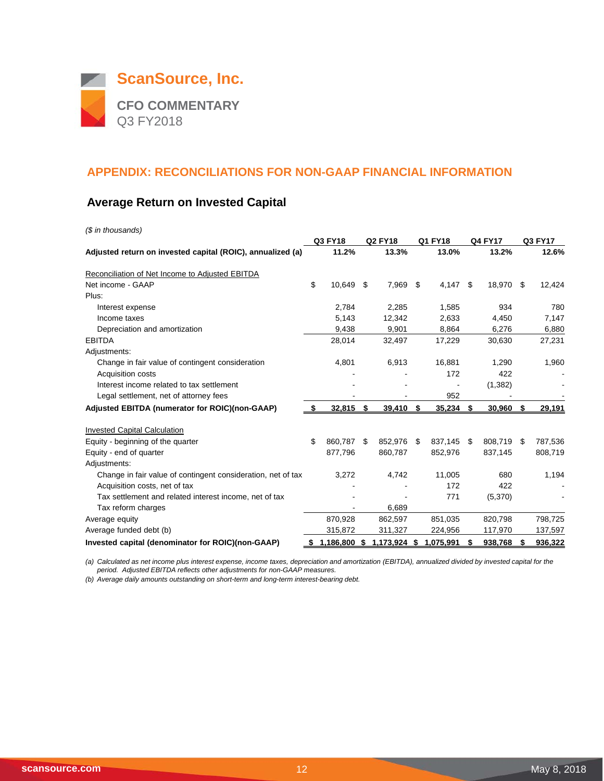

## **Average Return on Invested Capital**

| (\$ in thousands)                                            |    |              |                |         |            |      |                |         |         |
|--------------------------------------------------------------|----|--------------|----------------|---------|------------|------|----------------|---------|---------|
|                                                              |    | Q3 FY18      | <b>Q2 FY18</b> | Q1 FY18 |            |      | <b>Q4 FY17</b> | Q3 FY17 |         |
| Adjusted return on invested capital (ROIC), annualized (a)   |    | 11.2%        | 13.3%          |         | 13.0%      |      | 13.2%          |         | 12.6%   |
| Reconciliation of Net Income to Adjusted EBITDA              |    |              |                |         |            |      |                |         |         |
| Net income - GAAP                                            | \$ | 10,649       | \$<br>7,969 \$ |         | $4,147$ \$ |      | 18,970         | \$      | 12,424  |
| Plus:                                                        |    |              |                |         |            |      |                |         |         |
| Interest expense                                             |    | 2,784        | 2,285          |         | 1,585      |      | 934            |         | 780     |
| Income taxes                                                 |    | 5.143        | 12,342         |         | 2,633      |      | 4.450          |         | 7,147   |
| Depreciation and amortization                                |    | 9,438        | 9,901          |         | 8,864      |      | 6,276          |         | 6,880   |
| <b>EBITDA</b>                                                |    | 28,014       | 32,497         |         | 17,229     |      | 30,630         |         | 27,231  |
| Adjustments:                                                 |    |              |                |         |            |      |                |         |         |
| Change in fair value of contingent consideration             |    | 4,801        | 6,913          |         | 16,881     |      | 1,290          |         | 1,960   |
| <b>Acquisition costs</b>                                     |    |              |                |         | 172        |      | 422            |         |         |
| Interest income related to tax settlement                    |    |              |                |         |            |      | (1,382)        |         |         |
| Legal settlement, net of attorney fees                       |    |              |                |         | 952        |      |                |         |         |
| Adjusted EBITDA (numerator for ROIC)(non-GAAP)               | S. | 32,815       | \$<br>39,410   | \$      | 35,234     | S.   | 30,960         | \$      | 29,191  |
| <b>Invested Capital Calculation</b>                          |    |              |                |         |            |      |                |         |         |
| Equity - beginning of the quarter                            | \$ | 860,787      | \$<br>852,976  | - \$    | 837,145    | - \$ | 808,719        | \$      | 787,536 |
| Equity - end of quarter                                      |    | 877.796      | 860,787        |         | 852,976    |      | 837,145        |         | 808,719 |
| Adjustments:                                                 |    |              |                |         |            |      |                |         |         |
| Change in fair value of contingent consideration, net of tax |    | 3,272        | 4,742          |         | 11,005     |      | 680            |         | 1,194   |
| Acquisition costs, net of tax                                |    |              |                |         | 172        |      | 422            |         |         |
| Tax settlement and related interest income, net of tax       |    |              |                |         | 771        |      | (5,370)        |         |         |
| Tax reform charges                                           |    |              | 6,689          |         |            |      |                |         |         |
| Average equity                                               |    | 870,928      | 862,597        |         | 851,035    |      | 820,798        |         | 798,725 |
| Average funded debt (b)                                      |    | 315,872      | 311,327        |         | 224,956    |      | 117,970        |         | 137,597 |
| Invested capital (denominator for ROIC)(non-GAAP)            | \$ | 1,186,800 \$ | 1,173,924 \$   |         | 1,075,991  |      | 938,768        | S.      | 936,322 |

*(a) Calculated as net income plus interest expense, income taxes, depreciation and amortization (EBITDA), annualized divided by invested capital for the period. Adjusted EBITDA reflects other adjustments for non-GAAP measures.*

*(b) Average daily amounts outstanding on short-term and long-term interest-bearing debt.*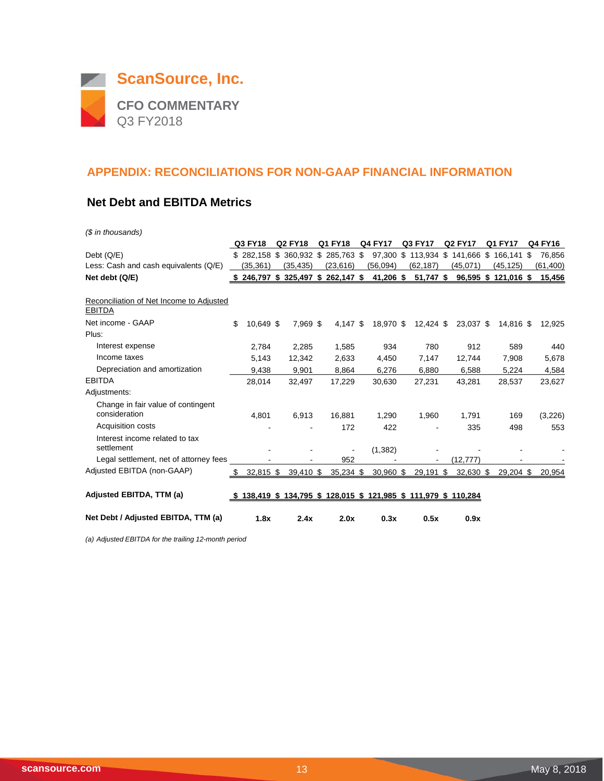

## **Net Debt and EBITDA Metrics**

*(\$ in thousands)*

|                                                           |     | Q3 FY18       | <b>Q2 FY18</b> | Q1 FY18                                                           | <b>Q4 FY17</b> | Q3 FY17              | <b>Q2 FY17</b>     | Q1 FY17              |     | Q4 FY16   |
|-----------------------------------------------------------|-----|---------------|----------------|-------------------------------------------------------------------|----------------|----------------------|--------------------|----------------------|-----|-----------|
| Debt (Q/E)                                                |     | $$282.158$ \$ | 360,932 \$     | 285,763 \$                                                        |                | 97,300 \$ 113,934 \$ | 141.666 \$ 166.141 |                      | \$. | 76,856    |
| Less: Cash and cash equivalents (Q/E)                     |     | (35,361)      | (35, 435)      | (23, 616)                                                         | (56,094)       | (62, 187)            | (45,071)           | (45, 125)            |     | (61, 400) |
| Net debt (Q/E)                                            |     |               |                | $$246,797$ \$ 325,497 \$ 262,147 \$                               | 41,206 \$      | 51,747 \$            |                    | 96,595 \$ 121,016 \$ |     | 15,456    |
|                                                           |     |               |                |                                                                   |                |                      |                    |                      |     |           |
| Reconciliation of Net Income to Adjusted<br><b>EBITDA</b> |     |               |                |                                                                   |                |                      |                    |                      |     |           |
| Net income - GAAP                                         | \$  | 10,649 \$     | 7,969 \$       | 4,147 \$                                                          | 18,970 \$      | $12,424$ \$          | 23,037 \$          | 14,816 \$            |     | 12,925    |
| Plus:                                                     |     |               |                |                                                                   |                |                      |                    |                      |     |           |
| Interest expense                                          |     | 2,784         | 2,285          | 1,585                                                             | 934            | 780                  | 912                | 589                  |     | 440       |
| Income taxes                                              |     | 5,143         | 12,342         | 2,633                                                             | 4,450          | 7,147                | 12,744             | 7,908                |     | 5,678     |
| Depreciation and amortization                             |     | 9,438         | 9,901          | 8,864                                                             | 6,276          | 6,880                | 6,588              | 5,224                |     | 4,584     |
| <b>EBITDA</b>                                             |     | 28,014        | 32,497         | 17,229                                                            | 30,630         | 27,231               | 43,281             | 28,537               |     | 23,627    |
| Adjustments:                                              |     |               |                |                                                                   |                |                      |                    |                      |     |           |
| Change in fair value of contingent                        |     |               |                |                                                                   |                |                      |                    |                      |     |           |
| consideration                                             |     | 4.801         | 6,913          | 16.881                                                            | 1,290          | 1,960                | 1,791              | 169                  |     | (3,226)   |
| Acquisition costs                                         |     |               |                | 172                                                               | 422            |                      | 335                | 498                  |     | 553       |
| Interest income related to tax                            |     |               |                |                                                                   |                |                      |                    |                      |     |           |
| settlement                                                |     |               |                |                                                                   | (1, 382)       |                      |                    |                      |     |           |
| Legal settlement, net of attorney fees                    |     |               |                | 952                                                               |                | $\blacksquare$       | (12, 777)          |                      |     |           |
| Adjusted EBITDA (non-GAAP)                                | -\$ | 32,815 \$     | 39,410 \$      | $35,234$ \$                                                       | $30,960$ \$    | 29,191 \$            | 32,630 \$          | 29,204 \$            |     | 20,954    |
| Adjusted EBITDA, TTM (a)                                  |     |               |                | $$138,419$ \$ 134,795 \$ 128,015 \$ 121,985 \$ 111,979 \$ 110,284 |                |                      |                    |                      |     |           |
| Net Debt / Adjusted EBITDA, TTM (a)                       |     | 1.8x          | 2.4x           | 2.0x                                                              | 0.3x           | 0.5x                 | 0.9x               |                      |     |           |

*(a) Adjusted EBITDA for the trailing 12-month period*